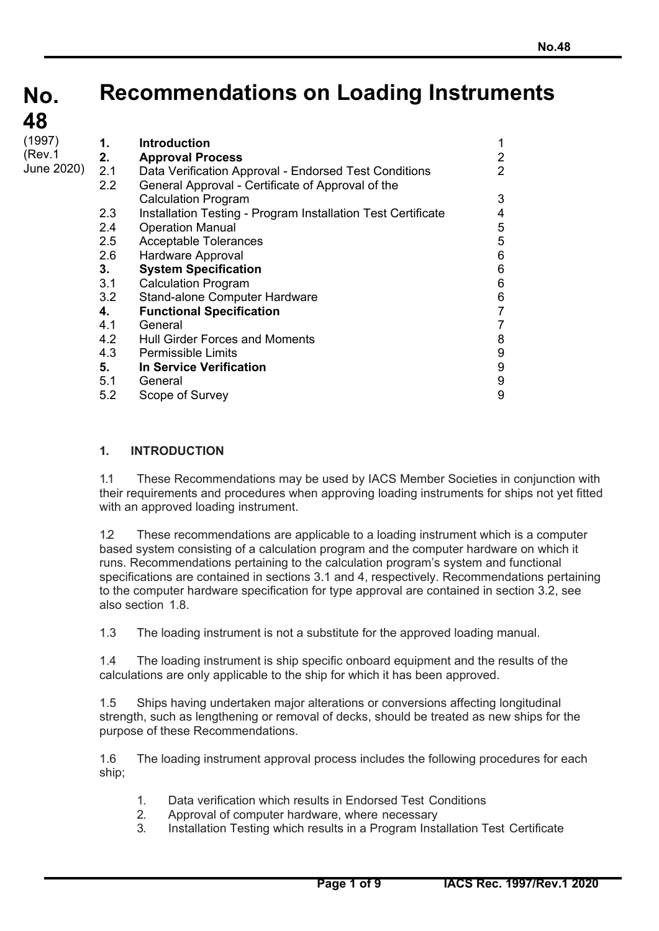**No. No. 48 48**

# **Recommendations on Loading Instruments**

| (1997)<br>(Rev.1<br>June 2020) | 1.<br>2.<br>2.1<br>$2.2\phantom{0}$<br>2.3<br>2.4<br>2.5<br>2.6<br>3.<br>3.1<br>3.2 | <b>Introduction</b><br><b>Approval Process</b><br>Data Verification Approval - Endorsed Test Conditions<br>General Approval - Certificate of Approval of the<br><b>Calculation Program</b><br>Installation Testing - Program Installation Test Certificate<br><b>Operation Manual</b><br><b>Acceptable Tolerances</b><br>Hardware Approval<br><b>System Specification</b><br><b>Calculation Program</b><br>Stand-alone Computer Hardware | 2<br>$\overline{2}$<br>3<br>4<br>$\sqrt{5}$<br>5<br>$6\phantom{1}6$<br>$6\phantom{1}6$<br>6<br>6 |
|--------------------------------|-------------------------------------------------------------------------------------|------------------------------------------------------------------------------------------------------------------------------------------------------------------------------------------------------------------------------------------------------------------------------------------------------------------------------------------------------------------------------------------------------------------------------------------|--------------------------------------------------------------------------------------------------|
|                                |                                                                                     |                                                                                                                                                                                                                                                                                                                                                                                                                                          |                                                                                                  |
|                                |                                                                                     |                                                                                                                                                                                                                                                                                                                                                                                                                                          |                                                                                                  |
|                                |                                                                                     |                                                                                                                                                                                                                                                                                                                                                                                                                                          |                                                                                                  |
|                                |                                                                                     |                                                                                                                                                                                                                                                                                                                                                                                                                                          |                                                                                                  |
|                                |                                                                                     |                                                                                                                                                                                                                                                                                                                                                                                                                                          |                                                                                                  |
|                                |                                                                                     |                                                                                                                                                                                                                                                                                                                                                                                                                                          |                                                                                                  |
|                                |                                                                                     |                                                                                                                                                                                                                                                                                                                                                                                                                                          |                                                                                                  |
|                                | 4.                                                                                  | <b>Functional Specification</b>                                                                                                                                                                                                                                                                                                                                                                                                          | $\overline{7}$                                                                                   |
|                                | 4.1                                                                                 | General                                                                                                                                                                                                                                                                                                                                                                                                                                  | 7                                                                                                |
|                                | 4.2                                                                                 | <b>Hull Girder Forces and Moments</b>                                                                                                                                                                                                                                                                                                                                                                                                    | 8                                                                                                |
|                                | 4.3                                                                                 | <b>Permissible Limits</b>                                                                                                                                                                                                                                                                                                                                                                                                                | 9                                                                                                |
|                                | 5.                                                                                  | <b>In Service Verification</b>                                                                                                                                                                                                                                                                                                                                                                                                           | 9                                                                                                |
|                                | 5.1                                                                                 | General                                                                                                                                                                                                                                                                                                                                                                                                                                  | 9                                                                                                |
|                                | 5.2                                                                                 | Scope of Survey                                                                                                                                                                                                                                                                                                                                                                                                                          | 9                                                                                                |
|                                |                                                                                     |                                                                                                                                                                                                                                                                                                                                                                                                                                          |                                                                                                  |

# **1. INTRODUCTION**

1.1 These Recommendations may be used by IACS Member Societies in conjunction with their requirements and procedures when approving loading instruments for ships not yet fitted with an approved loading instrument.

1.2 These recommendations are applicable to a loading instrument which is a computer based system consisting of a calculation program and the computer hardware on which it runs. Recommendations pertaining to the calculation program's system and functional specifications are contained in sections 3.1 and 4, respectively. Recommendations pertaining to the computer hardware specification for type approval are contained in section 3.2, see also section 1.8.

1.3 The loading instrument is not a substitute for the approved loading manual.

1.4 The loading instrument is ship specific onboard equipment and the results of the calculations are only applicable to the ship for which it has been approved.

1.5 Ships having undertaken major alterations or conversions affecting longitudinal strength, such as lengthening or removal of decks, should be treated as new ships for the purpose of these Recommendations.

1.6 The loading instrument approval process includes the following procedures for each ship;

- 1. Data verification which results in Endorsed Test Conditions
- 2. Approval of computer hardware, where necessary
- 3. Installation Testing which results in a Program Installation Test Certificate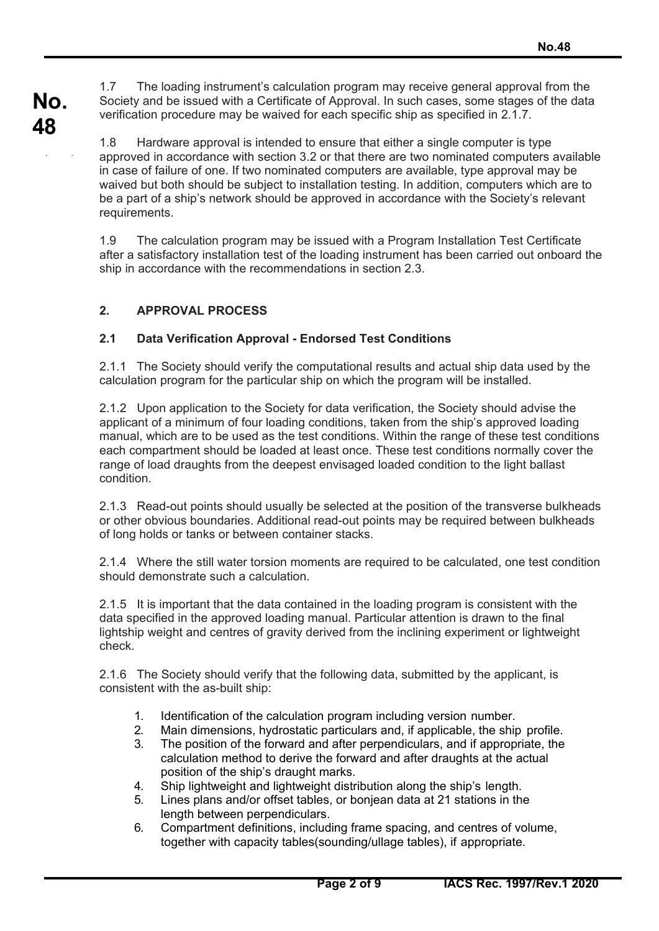**No.**  1.7 The loading instrument's calculation program may receive general approval from the Society and be issued with a Certificate of Approval. In such cases, some stages of the data verification procedure may be waived for each specific ship as specified in 2.1.7.

> 1.8 Hardware approval is intended to ensure that either a single computer is type approved in accordance with section 3.2 or that there are two nominated computers available in case of failure of one. If two nominated computers are available, type approval may be waived but both should be subject to installation testing. In addition, computers which are to be a part of a ship's network should be approved in accordance with the Society's relevant requirements.

> 1.9 The calculation program may be issued with a Program Installation Test Certificate after a satisfactory installation test of the loading instrument has been carried out onboard the ship in accordance with the recommendations in section 2.3.

# **2. APPROVAL PROCESS**

**48** 

( )

# **2.1 Data Verification Approval - Endorsed Test Conditions**

2.1.1 The Society should verify the computational results and actual ship data used by the calculation program for the particular ship on which the program will be installed.

2.1.2 Upon application to the Society for data verification, the Society should advise the applicant of a minimum of four loading conditions, taken from the ship's approved loading manual, which are to be used as the test conditions. Within the range of these test conditions each compartment should be loaded at least once. These test conditions normally cover the range of load draughts from the deepest envisaged loaded condition to the light ballast condition.

2.1.3 Read-out points should usually be selected at the position of the transverse bulkheads or other obvious boundaries. Additional read-out points may be required between bulkheads of long holds or tanks or between container stacks.

2.1.4 Where the still water torsion moments are required to be calculated, one test condition should demonstrate such a calculation.

2.1.5 It is important that the data contained in the loading program is consistent with the data specified in the approved loading manual. Particular attention is drawn to the final lightship weight and centres of gravity derived from the inclining experiment or lightweight check.

2.1.6 The Society should verify that the following data, submitted by the applicant, is consistent with the as-built ship:

- 1. Identification of the calculation program including version number.
- 2. Main dimensions, hydrostatic particulars and, if applicable, the ship profile.
- 3. The position of the forward and after perpendiculars, and if appropriate, the calculation method to derive the forward and after draughts at the actual position of the ship's draught marks.
- 4. Ship lightweight and lightweight distribution along the ship's length.
- 5. Lines plans and/or offset tables, or bonjean data at 21 stations in the length between perpendiculars.
- 6. Compartment definitions, including frame spacing, and centres of volume, together with capacity tables(sounding/ullage tables), if appropriate.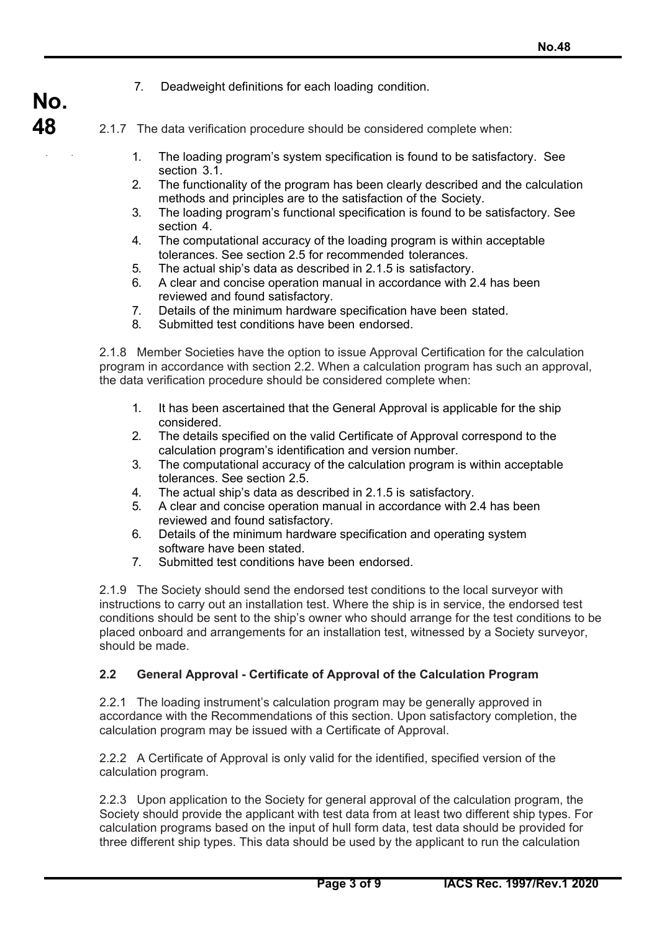7. Deadweight definitions for each loading condition.

**No.** 

**48** 

( )

- 2.1.7 The data verification procedure should be considered complete when:
	- 1. The loading program's system specification is found to be satisfactory. See section 3.1.
	- 2. The functionality of the program has been clearly described and the calculation methods and principles are to the satisfaction of the Society.
	- 3. The loading program's functional specification is found to be satisfactory. See section 4.
	- 4. The computational accuracy of the loading program is within acceptable tolerances. See section 2.5 for recommended tolerances.
	- 5. The actual ship's data as described in 2.1.5 is satisfactory.
	- 6. A clear and concise operation manual in accordance with 2.4 has been reviewed and found satisfactory.
	- 7. Details of the minimum hardware specification have been stated.
	- 8. Submitted test conditions have been endorsed.

2.1.8 Member Societies have the option to issue Approval Certification for the calculation program in accordance with section 2.2. When a calculation program has such an approval, the data verification procedure should be considered complete when:

- 1. It has been ascertained that the General Approval is applicable for the ship considered.
- 2. The details specified on the valid Certificate of Approval correspond to the calculation program's identification and version number.
- 3. The computational accuracy of the calculation program is within acceptable tolerances. See section 2.5.
- 4. The actual ship's data as described in 2.1.5 is satisfactory.
- 5. A clear and concise operation manual in accordance with 2.4 has been reviewed and found satisfactory.
- 6. Details of the minimum hardware specification and operating system software have been stated.
- 7. Submitted test conditions have been endorsed.

2.1.9 The Society should send the endorsed test conditions to the local surveyor with instructions to carry out an installation test. Where the ship is in service, the endorsed test conditions should be sent to the ship's owner who should arrange for the test conditions to be placed onboard and arrangements for an installation test, witnessed by a Society surveyor, should be made.

## **2.2 General Approval - Certificate of Approval of the Calculation Program**

2.2.1 The loading instrument's calculation program may be generally approved in accordance with the Recommendations of this section. Upon satisfactory completion, the calculation program may be issued with a Certificate of Approval.

2.2.2 A Certificate of Approval is only valid for the identified, specified version of the calculation program.

2.2.3 Upon application to the Society for general approval of the calculation program, the Society should provide the applicant with test data from at least two different ship types. For calculation programs based on the input of hull form data, test data should be provided for three different ship types. This data should be used by the applicant to run the calculation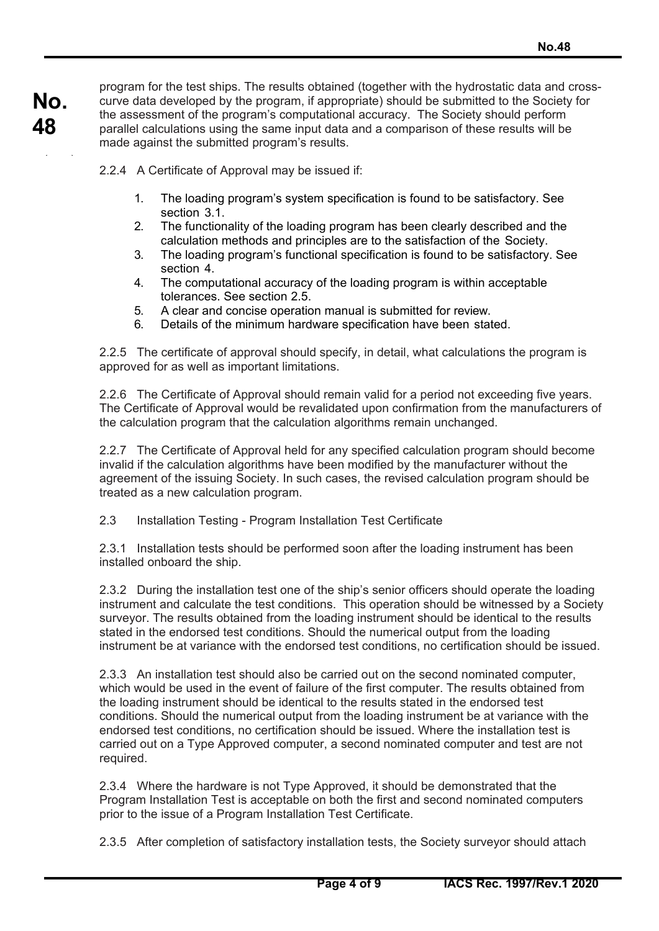( )

program for the test ships. The results obtained (together with the hydrostatic data and crosscurve data developed by the program, if appropriate) should be submitted to the Society for the assessment of the program's computational accuracy. The Society should perform parallel calculations using the same input data and a comparison of these results will be made against the submitted program's results.

2.2.4 A Certificate of Approval may be issued if:

- 1. The loading program's system specification is found to be satisfactory. See section 3.1.
- 2. The functionality of the loading program has been clearly described and the calculation methods and principles are to the satisfaction of the Society.
- 3. The loading program's functional specification is found to be satisfactory. See section 4.
- 4. The computational accuracy of the loading program is within acceptable tolerances. See section 2.5.
- 5. A clear and concise operation manual is submitted for review.
- 6. Details of the minimum hardware specification have been stated.

2.2.5 The certificate of approval should specify, in detail, what calculations the program is approved for as well as important limitations.

2.2.6 The Certificate of Approval should remain valid for a period not exceeding five years. The Certificate of Approval would be revalidated upon confirmation from the manufacturers of the calculation program that the calculation algorithms remain unchanged.

2.2.7 The Certificate of Approval held for any specified calculation program should become invalid if the calculation algorithms have been modified by the manufacturer without the agreement of the issuing Society. In such cases, the revised calculation program should be treated as a new calculation program.

2.3 Installation Testing - Program Installation Test Certificate

2.3.1 Installation tests should be performed soon after the loading instrument has been installed onboard the ship.

2.3.2 During the installation test one of the ship's senior officers should operate the loading instrument and calculate the test conditions. This operation should be witnessed by a Society surveyor. The results obtained from the loading instrument should be identical to the results stated in the endorsed test conditions. Should the numerical output from the loading instrument be at variance with the endorsed test conditions, no certification should be issued.

2.3.3 An installation test should also be carried out on the second nominated computer, which would be used in the event of failure of the first computer. The results obtained from the loading instrument should be identical to the results stated in the endorsed test conditions. Should the numerical output from the loading instrument be at variance with the endorsed test conditions, no certification should be issued. Where the installation test is carried out on a Type Approved computer, a second nominated computer and test are not required.

2.3.4 Where the hardware is not Type Approved, it should be demonstrated that the Program Installation Test is acceptable on both the first and second nominated computers prior to the issue of a Program Installation Test Certificate.

2.3.5 After completion of satisfactory installation tests, the Society surveyor should attach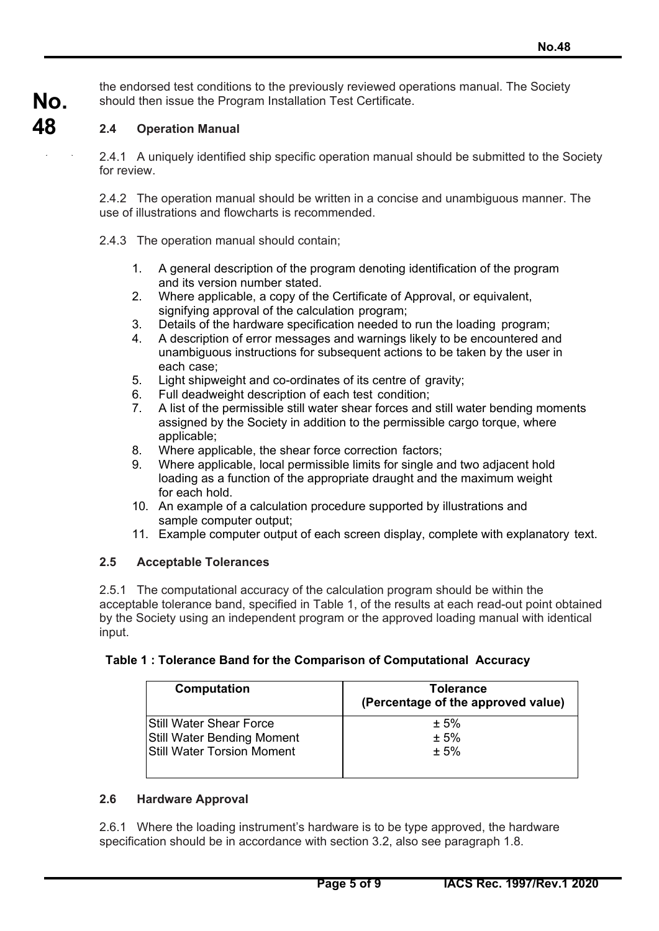the endorsed test conditions to the previously reviewed operations manual. The Society should then issue the Program Installation Test Certificate.

**No. 48** 

( )

### **2.4 Operation Manual**

2.4.1 A uniquely identified ship specific operation manual should be submitted to the Society for review.

2.4.2 The operation manual should be written in a concise and unambiguous manner. The use of illustrations and flowcharts is recommended.

- 2.4.3 The operation manual should contain;
	- 1. A general description of the program denoting identification of the program and its version number stated.
	- 2. Where applicable, a copy of the Certificate of Approval, or equivalent, signifying approval of the calculation program;
	- 3. Details of the hardware specification needed to run the loading program;
	- 4. A description of error messages and warnings likely to be encountered and unambiguous instructions for subsequent actions to be taken by the user in each case;
	- 5. Light shipweight and co-ordinates of its centre of gravity;
	- 6. Full deadweight description of each test condition;
	- 7. A list of the permissible still water shear forces and still water bending moments assigned by the Society in addition to the permissible cargo torque, where applicable;
	- 8. Where applicable, the shear force correction factors;
	- 9. Where applicable, local permissible limits for single and two adjacent hold loading as a function of the appropriate draught and the maximum weight for each hold.
	- 10. An example of a calculation procedure supported by illustrations and sample computer output;
	- 11. Example computer output of each screen display, complete with explanatory text.

#### **2.5 Acceptable Tolerances**

2.5.1 The computational accuracy of the calculation program should be within the acceptable tolerance band, specified in Table 1, of the results at each read-out point obtained by the Society using an independent program or the approved loading manual with identical input.

#### **Table 1 : Tolerance Band for the Comparison of Computational Accuracy**

| Computation                       | Tolerance<br>(Percentage of the approved value) |
|-----------------------------------|-------------------------------------------------|
| IStill Water Shear Force          | ± 5%                                            |
| <b>Still Water Bending Moment</b> | ± 5%                                            |
| <b>Still Water Torsion Moment</b> | ± 5%                                            |
|                                   |                                                 |

#### **2.6 Hardware Approval**

2.6.1 Where the loading instrument's hardware is to be type approved, the hardware specification should be in accordance with section 3.2, also see paragraph 1.8.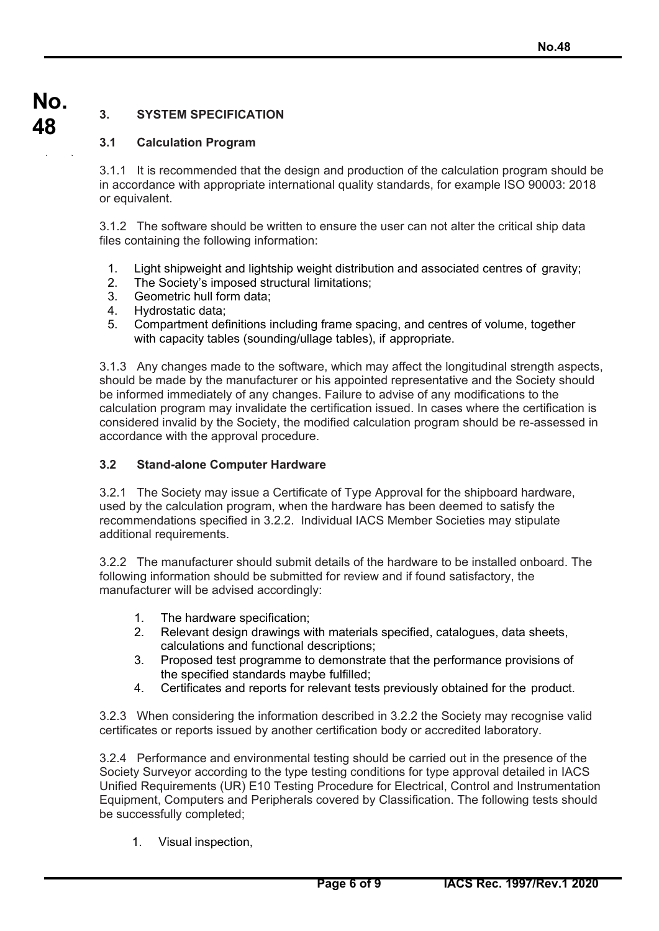# **No. 3. SYSTEM SPECIFICATION**

**48** 

( )

# **3.1 Calculation Program**

3.1.1 It is recommended that the design and production of the calculation program should be in accordance with appropriate international quality standards, for example ISO 90003: 2018 or equivalent.

3.1.2 The software should be written to ensure the user can not alter the critical ship data files containing the following information:

- 1. Light shipweight and lightship weight distribution and associated centres of gravity;
- 2. The Society's imposed structural limitations;
- 3. Geometric hull form data;
- 4. Hydrostatic data;
- 5. Compartment definitions including frame spacing, and centres of volume, together with capacity tables (sounding/ullage tables), if appropriate.

3.1.3 Any changes made to the software, which may affect the longitudinal strength aspects, should be made by the manufacturer or his appointed representative and the Society should be informed immediately of any changes. Failure to advise of any modifications to the calculation program may invalidate the certification issued. In cases where the certification is considered invalid by the Society, the modified calculation program should be re-assessed in accordance with the approval procedure.

# **3.2 Stand-alone Computer Hardware**

3.2.1 The Society may issue a Certificate of Type Approval for the shipboard hardware, used by the calculation program, when the hardware has been deemed to satisfy the recommendations specified in 3.2.2. Individual IACS Member Societies may stipulate additional requirements.

3.2.2 The manufacturer should submit details of the hardware to be installed onboard. The following information should be submitted for review and if found satisfactory, the manufacturer will be advised accordingly:

- 1. The hardware specification;
- 2. Relevant design drawings with materials specified, catalogues, data sheets, calculations and functional descriptions;
- 3. Proposed test programme to demonstrate that the performance provisions of the specified standards maybe fulfilled;
- 4. Certificates and reports for relevant tests previously obtained for the product.

3.2.3 When considering the information described in 3.2.2 the Society may recognise valid certificates or reports issued by another certification body or accredited laboratory.

3.2.4 Performance and environmental testing should be carried out in the presence of the Society Surveyor according to the type testing conditions for type approval detailed in IACS Unified Requirements (UR) E10 Testing Procedure for Electrical, Control and Instrumentation Equipment, Computers and Peripherals covered by Classification. The following tests should be successfully completed;

1. Visual inspection,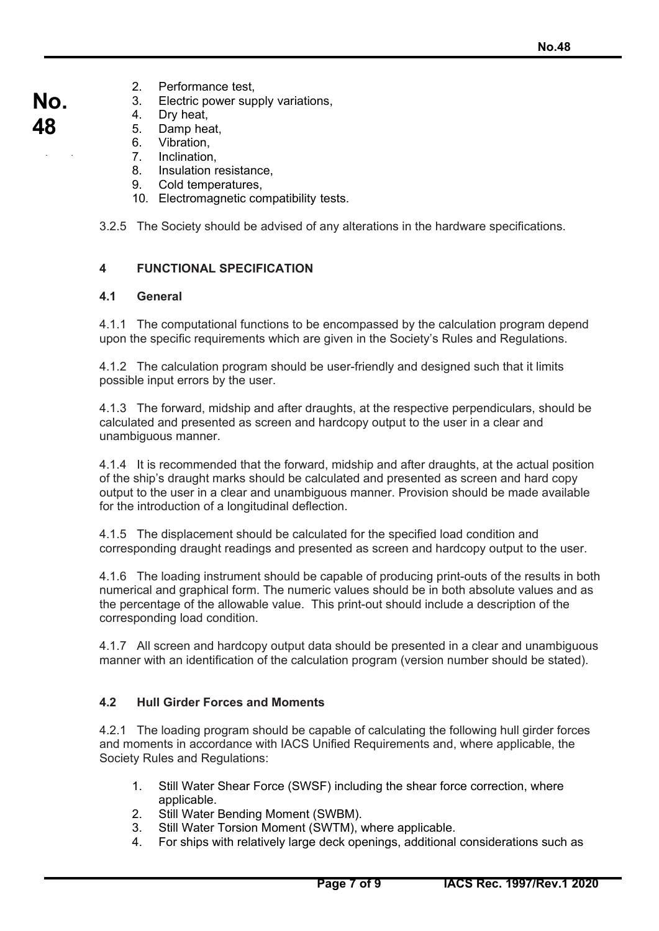- 2. Performance test,
- 3. Electric power supply variations,
	- 4. Dry heat,

**No.** 

**48** 

( )

- 5. Damp heat,
- 6. Vibration,<br>7. Inclination
- Inclination.
- 8. Insulation resistance,
- 9. Cold temperatures,
- 10. Electromagnetic compatibility tests.

3.2.5 The Society should be advised of any alterations in the hardware specifications.

# **4 FUNCTIONAL SPECIFICATION**

# **4.1 General**

4.1.1 The computational functions to be encompassed by the calculation program depend upon the specific requirements which are given in the Society's Rules and Regulations.

4.1.2 The calculation program should be user-friendly and designed such that it limits possible input errors by the user.

4.1.3 The forward, midship and after draughts, at the respective perpendiculars, should be calculated and presented as screen and hardcopy output to the user in a clear and unambiguous manner.

4.1.4 It is recommended that the forward, midship and after draughts, at the actual position of the ship's draught marks should be calculated and presented as screen and hard copy output to the user in a clear and unambiguous manner. Provision should be made available for the introduction of a longitudinal deflection.

4.1.5 The displacement should be calculated for the specified load condition and corresponding draught readings and presented as screen and hardcopy output to the user.

4.1.6 The loading instrument should be capable of producing print-outs of the results in both numerical and graphical form. The numeric values should be in both absolute values and as the percentage of the allowable value. This print-out should include a description of the corresponding load condition.

4.1.7 All screen and hardcopy output data should be presented in a clear and unambiguous manner with an identification of the calculation program (version number should be stated).

# **4.2 Hull Girder Forces and Moments**

4.2.1 The loading program should be capable of calculating the following hull girder forces and moments in accordance with IACS Unified Requirements and, where applicable, the Society Rules and Regulations:

- 1. Still Water Shear Force (SWSF) including the shear force correction, where applicable.
- 2. Still Water Bending Moment (SWBM).
- 3. Still Water Torsion Moment (SWTM), where applicable.
- 4. For ships with relatively large deck openings, additional considerations such as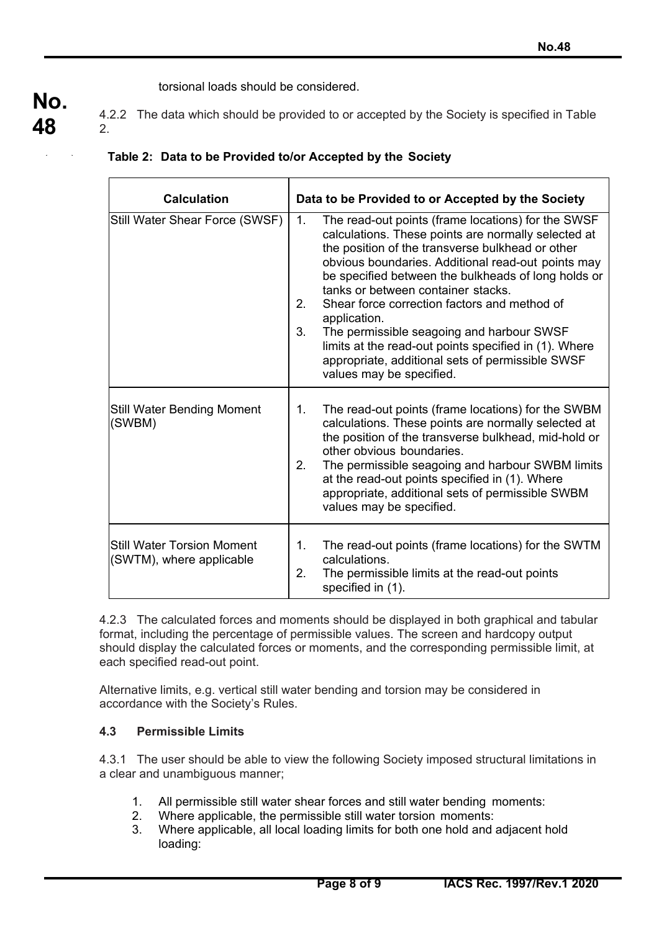torsional loads should be considered.

4.2.2 The data which should be provided to or accepted by the Society is specified in Table 2.

|  |  |  |  | Table 2: Data to be Provided to/or Accepted by the Society |
|--|--|--|--|------------------------------------------------------------|
|--|--|--|--|------------------------------------------------------------|

| <b>Calculation</b>                                            | Data to be Provided to or Accepted by the Society                                                                                                                                                                                                                                                                                                                                                                                                                                                                                                                                        |  |  |  |
|---------------------------------------------------------------|------------------------------------------------------------------------------------------------------------------------------------------------------------------------------------------------------------------------------------------------------------------------------------------------------------------------------------------------------------------------------------------------------------------------------------------------------------------------------------------------------------------------------------------------------------------------------------------|--|--|--|
| Still Water Shear Force (SWSF)                                | The read-out points (frame locations) for the SWSF<br>1.<br>calculations. These points are normally selected at<br>the position of the transverse bulkhead or other<br>obvious boundaries. Additional read-out points may<br>be specified between the bulkheads of long holds or<br>tanks or between container stacks.<br>2.<br>Shear force correction factors and method of<br>application.<br>3.<br>The permissible seagoing and harbour SWSF<br>limits at the read-out points specified in (1). Where<br>appropriate, additional sets of permissible SWSF<br>values may be specified. |  |  |  |
| <b>Still Water Bending Moment</b><br>(SWBM)                   | The read-out points (frame locations) for the SWBM<br>1.<br>calculations. These points are normally selected at<br>the position of the transverse bulkhead, mid-hold or<br>other obvious boundaries.<br>2.<br>The permissible seagoing and harbour SWBM limits<br>at the read-out points specified in (1). Where<br>appropriate, additional sets of permissible SWBM<br>values may be specified.                                                                                                                                                                                         |  |  |  |
| <b>Still Water Torsion Moment</b><br>(SWTM), where applicable | The read-out points (frame locations) for the SWTM<br>1.<br>calculations.<br>2.<br>The permissible limits at the read-out points<br>specified in (1).                                                                                                                                                                                                                                                                                                                                                                                                                                    |  |  |  |

4.2.3 The calculated forces and moments should be displayed in both graphical and tabular format, including the percentage of permissible values. The screen and hardcopy output should display the calculated forces or moments, and the corresponding permissible limit, at each specified read-out point.

Alternative limits, e.g. vertical still water bending and torsion may be considered in accordance with the Society's Rules.

## **4.3 Permissible Limits**

4.3.1 The user should be able to view the following Society imposed structural limitations in a clear and unambiguous manner;

- 1. All permissible still water shear forces and still water bending moments:
- 2. Where applicable, the permissible still water torsion moments:
- 3. Where applicable, all local loading limits for both one hold and adjacent hold loading:

( )